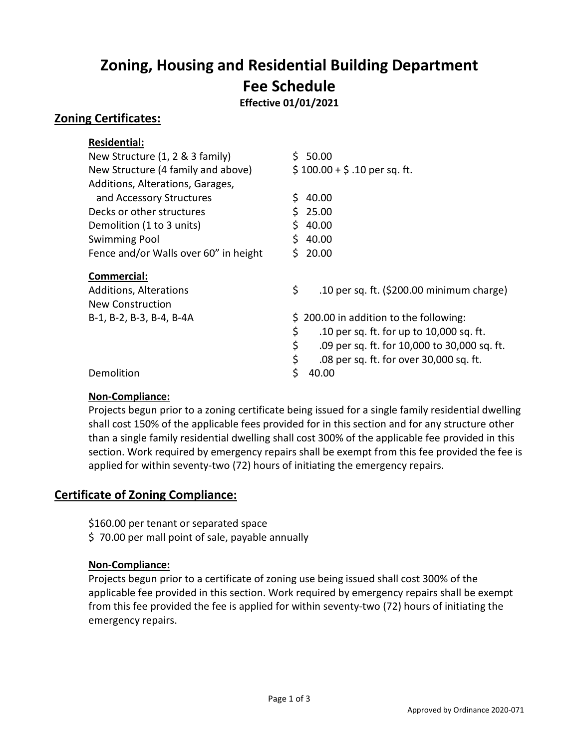# **Zoning, Housing and Residential Building Department Fee Schedule**

**Effective 01/01/2021**

## **Zoning Certificates:**

| <b>Residential:</b>                   |                                                    |
|---------------------------------------|----------------------------------------------------|
| New Structure (1, 2 & 3 family)       | 50.00<br>S.                                        |
| New Structure (4 family and above)    | $$100.00 + $.10$ per sq. ft.                       |
| Additions, Alterations, Garages,      |                                                    |
| and Accessory Structures              | \$<br>40.00                                        |
| Decks or other structures             | 25.00                                              |
| Demolition (1 to 3 units)             | 40.00                                              |
| <b>Swimming Pool</b>                  | 40.00<br>S                                         |
| Fence and/or Walls over 60" in height | 20.00<br>S.                                        |
| Commercial:                           |                                                    |
| <b>Additions, Alterations</b>         | \$<br>.10 per sq. ft. (\$200.00 minimum charge)    |
|                                       |                                                    |
| New Construction                      |                                                    |
| B-1, B-2, B-3, B-4, B-4A              | 200.00 in addition to the following:<br>S.         |
|                                       | \$<br>.10 per sq. ft. for up to 10,000 sq. ft.     |
|                                       | \$<br>.09 per sq. ft. for 10,000 to 30,000 sq. ft. |
|                                       | \$<br>.08 per sq. ft. for over 30,000 sq. ft.      |

#### **Non-Compliance:**

Projects begun prior to a zoning certificate being issued for a single family residential dwelling shall cost 150% of the applicable fees provided for in this section and for any structure other than a single family residential dwelling shall cost 300% of the applicable fee provided in this section. Work required by emergency repairs shall be exempt from this fee provided the fee is applied for within seventy-two (72) hours of initiating the emergency repairs.

# **Certificate of Zoning Compliance:**

- \$160.00 per tenant or separated space
- \$ 70.00 per mall point of sale, payable annually

#### **Non-Compliance:**

Projects begun prior to a certificate of zoning use being issued shall cost 300% of the applicable fee provided in this section. Work required by emergency repairs shall be exempt from this fee provided the fee is applied for within seventy-two (72) hours of initiating the emergency repairs.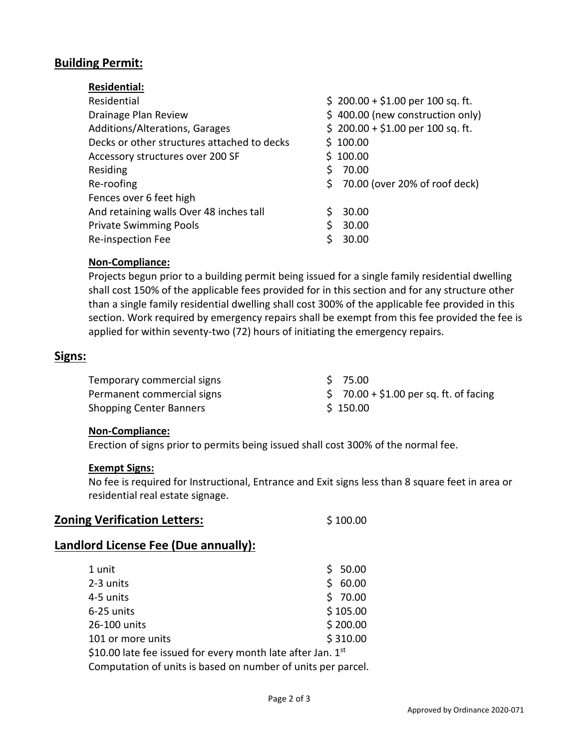# **Building Permit:**

| <b>Residential:</b>                         |                                     |
|---------------------------------------------|-------------------------------------|
| Residential                                 | $$200.00 + $1.00$ per 100 sq. ft.   |
| Drainage Plan Review                        | \$400.00 (new construction only)    |
| Additions/Alterations, Garages              | $$200.00 + $1.00$ per 100 sq. ft.   |
| Decks or other structures attached to decks | \$100.00                            |
| Accessory structures over 200 SF            | \$100.00                            |
| Residing                                    | 70.00                               |
| Re-roofing                                  | Ś.<br>70.00 (over 20% of roof deck) |
| Fences over 6 feet high                     |                                     |
| And retaining walls Over 48 inches tall     | 30.00                               |
| <b>Private Swimming Pools</b>               | S<br>30.00                          |
| Re-inspection Fee                           | 30.00                               |

#### **Non-Compliance:**

Projects begun prior to a building permit being issued for a single family residential dwelling shall cost 150% of the applicable fees provided for in this section and for any structure other than a single family residential dwelling shall cost 300% of the applicable fee provided in this section. Work required by emergency repairs shall be exempt from this fee provided the fee is applied for within seventy-two (72) hours of initiating the emergency repairs.

#### **Signs:**

| Temporary commercial signs     | S 75.00                                |
|--------------------------------|----------------------------------------|
| Permanent commercial signs     | $$70.00 + $1.00$ per sq. ft. of facing |
| <b>Shopping Center Banners</b> | \$150.00                               |

#### **Non-Compliance:**

Erection of signs prior to permits being issued shall cost 300% of the normal fee.

#### **Exempt Signs:**

No fee is required for Instructional, Entrance and Exit signs less than 8 square feet in area or residential real estate signage.

| <b>Zoning Verification Letters:</b> | \$100.00 |
|-------------------------------------|----------|
|-------------------------------------|----------|

## **Landlord License Fee (Due annually):**

| 1 unit                                                        |    | \$50.00  |
|---------------------------------------------------------------|----|----------|
| 2-3 units                                                     | S. | 60.00    |
| 4-5 units                                                     |    | \$70.00  |
| 6-25 units                                                    |    | \$105.00 |
| 26-100 units                                                  |    | \$200.00 |
| 101 or more units                                             |    | \$310.00 |
| \$10.00 late fee issued for every month late after Jan. $1st$ |    |          |
| Computation of units is based on number of units per parcel.  |    |          |